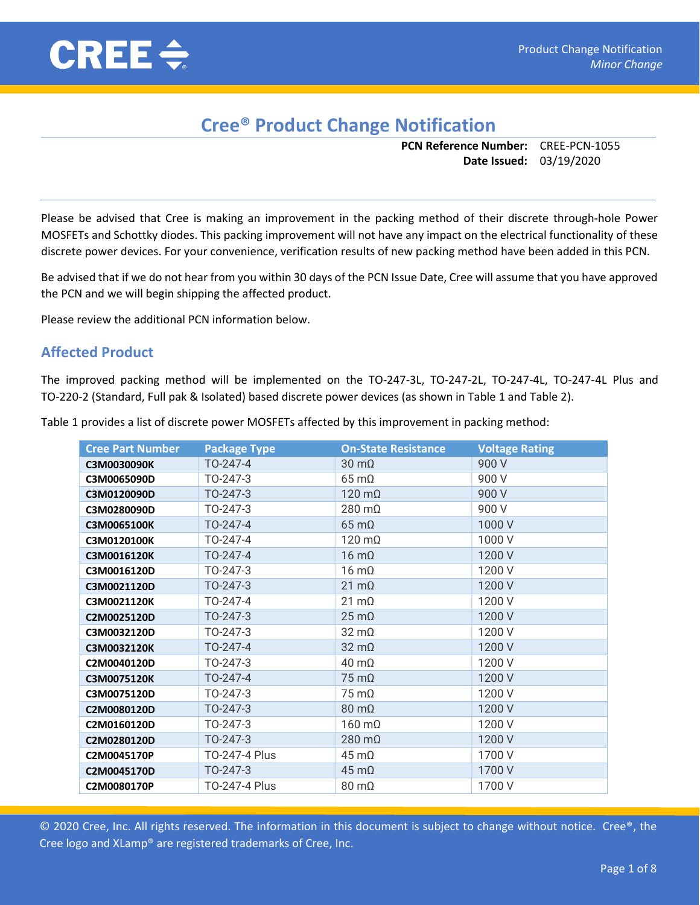

## Cree® Product Change Notification

PCN Reference Number: CREE-PCN-1055 Date Issued: 03/19/2020

Please be advised that Cree is making an improvement in the packing method of their discrete through-hole Power MOSFETs and Schottky diodes. This packing improvement will not have any impact on the electrical functionality of these discrete power devices. For your convenience, verification results of new packing method have been added in this PCN.

Be advised that if we do not hear from you within 30 days of the PCN Issue Date, Cree will assume that you have approved the PCN and we will begin shipping the affected product.

Please review the additional PCN information below.

## Affected Product

The improved packing method will be implemented on the TO-247-3L, TO-247-2L, TO-247-4L, TO-247-4L Plus and TO-220-2 (Standard, Full pak & Isolated) based discrete power devices (as shown in Table 1 and Table 2).

| <b>Cree Part Number</b> | <b>Package Type</b> | <b>On-State Resistance</b> | <b>Voltage Rating</b> |
|-------------------------|---------------------|----------------------------|-----------------------|
| C3M0030090K             | TO-247-4            | $30 \text{ m}\Omega$       | 900 V                 |
| C3M0065090D             | TO-247-3            | $65 \text{ mA}$            | 900 V                 |
| C3M0120090D             | TO-247-3            | $120 \text{ m}\Omega$      | 900 V                 |
| C3M0280090D             | TO-247-3            | $280 \text{ m}\Omega$      | 900 V                 |
| C3M0065100K             | TO-247-4            | $65 \text{ mA}$            | 1000V                 |
| C3M0120100K             | TO-247-4            | $120 \text{ mA}$           | 1000V                 |
| C3M0016120K             | TO-247-4            | $16 \text{ m}\Omega$       | 1200 V                |
| C3M0016120D             | TO-247-3            | $16 \text{ m}\Omega$       | 1200 V                |
| C3M0021120D             | TO-247-3            | $21 \text{ mA}$            | 1200 V                |
| C3M0021120K             | TO-247-4            | $21 \text{ mA}$            | 1200 V                |
| C2M0025120D             | TO-247-3            | $25 \text{ mA}$            | 1200 V                |
| C3M0032120D             | TO-247-3            | $32 \text{ mA}$            | 1200 V                |
| C3M0032120K             | TO-247-4            | $32 \text{ mA}$            | 1200 V                |
| C2M0040120D             | TO-247-3            | $40 \text{ m}\Omega$       | 1200 V                |
| C3M0075120K             | TO-247-4            | $75 \text{ mA}$            | 1200 V                |
| C3M0075120D             | TO-247-3            | $75 \text{ mA}$            | 1200 V                |
| C2M0080120D             | TO-247-3            | $80 \text{ m}\Omega$       | 1200 V                |
| C2M0160120D             | TO-247-3            | $160 \text{ m}\Omega$      | 1200 V                |
| C2M0280120D             | TO-247-3            | $280 \text{ m}\Omega$      | 1200 V                |
| C2M0045170P             | TO-247-4 Plus       | $45 \text{ mA}$            | 1700 V                |
| C2M0045170D             | TO-247-3            | $45 \text{ mA}$            | 1700 V                |
| C2M0080170P             | TO-247-4 Plus       | $80 \text{ m}\Omega$       | 1700 V                |

Table 1 provides a list of discrete power MOSFETs affected by this improvement in packing method: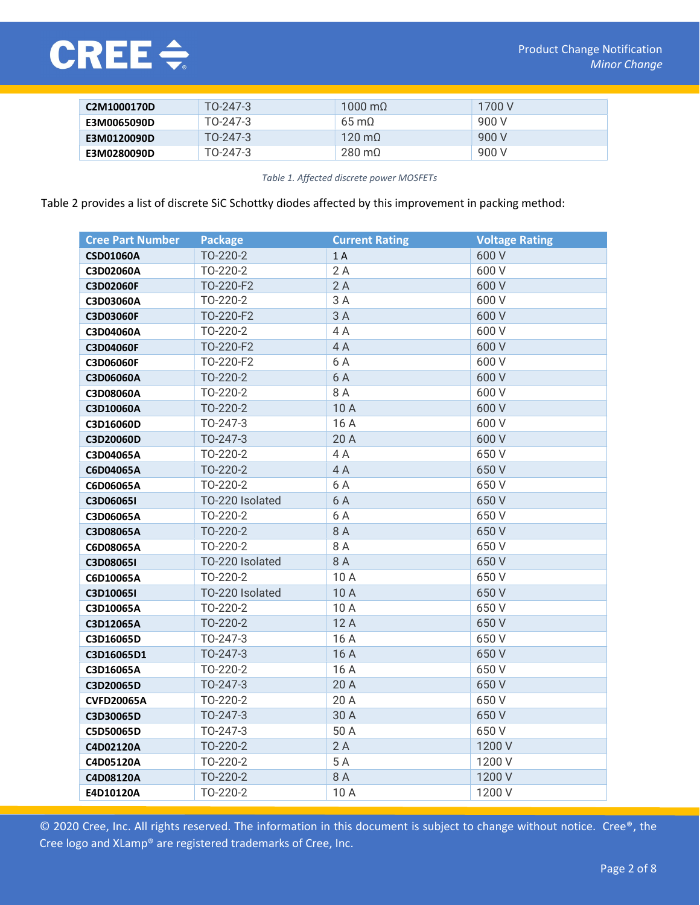

| C2M1000170D | $TO-247-3$ | $1000 \text{ m}$        | 1700 V |
|-------------|------------|-------------------------|--------|
| E3M0065090D | TO-247-3   | $65 \,\mathrm{m}\Omega$ | 900 V  |
| E3M0120090D | TO-247-3   | $120 \text{ m}$         | 900 V  |
| E3M0280090D | TO-247-3   | $280 \text{ m}$         | 900 V  |

Table 1. Affected discrete power MOSFETs

Table 2 provides a list of discrete SiC Schottky diodes affected by this improvement in packing method:

| <b>Cree Part Number</b> | <b>Package</b>  | <b>Current Rating</b> | <b>Voltage Rating</b> |
|-------------------------|-----------------|-----------------------|-----------------------|
| <b>CSD01060A</b>        | TO-220-2        | 1A                    | 600 V                 |
| C3D02060A               | TO-220-2        | 2A                    | 600 V                 |
| C3D02060F               | TO-220-F2       | 2A                    | 600 V                 |
| C3D03060A               | TO-220-2        | 3A                    | 600 V                 |
| C3D03060F               | TO-220-F2       | 3A                    | 600 V                 |
| C3D04060A               | TO-220-2        | 4 A                   | 600 V                 |
| C3D04060F               | TO-220-F2       | 4A                    | 600 V                 |
| C3D06060F               | TO-220-F2       | 6 A                   | 600 V                 |
| C3D06060A               | TO-220-2        | 6 A                   | 600 V                 |
| C3D08060A               | TO-220-2        | 8 A                   | 600 V                 |
| C3D10060A               | TO-220-2        | 10A                   | 600 V                 |
| C3D16060D               | TO-247-3        | 16 A                  | 600 V                 |
| C3D20060D               | TO-247-3        | 20 A                  | 600 V                 |
| C3D04065A               | TO-220-2        | 4 A                   | 650 V                 |
| C6D04065A               | TO-220-2        | 4A                    | 650 V                 |
| C6D06065A               | TO-220-2        | 6 A                   | 650 V                 |
| C3D06065I               | TO-220 Isolated | 6 A                   | 650 V                 |
| C3D06065A               | TO-220-2        | 6 A                   | 650 V                 |
| C3D08065A               | TO-220-2        | 8 A                   | 650 V                 |
| C6D08065A               | TO-220-2        | 8 A                   | 650 V                 |
| C3D08065I               | TO-220 Isolated | 8 A                   | 650 V                 |
| C6D10065A               | TO-220-2        | 10A                   | 650 V                 |
| C3D10065I               | TO-220 Isolated | 10 A                  | 650 V                 |
| C3D10065A               | TO-220-2        | 10 A                  | 650 V                 |
| C3D12065A               | TO-220-2        | 12A                   | 650 V                 |
| C3D16065D               | TO-247-3        | 16 A                  | 650 V                 |
| C3D16065D1              | TO-247-3        | 16 A                  | 650 V                 |
| C3D16065A               | TO-220-2        | 16 A                  | 650 V                 |
| C3D20065D               | TO-247-3        | 20 A                  | 650 V                 |
| <b>CVFD20065A</b>       | TO-220-2        | 20 A                  | 650 V                 |
| C3D30065D               | TO-247-3        | 30 A                  | 650 V                 |
| C5D50065D               | TO-247-3        | 50 A                  | 650 V                 |
| C4D02120A               | TO-220-2        | 2A                    | 1200 V                |
| C4D05120A               | TO-220-2        | 5 A                   | 1200 V                |
| C4D08120A               | TO-220-2        | 8 A                   | 1200 V                |
| E4D10120A               | TO-220-2        | 10 A                  | 1200 V                |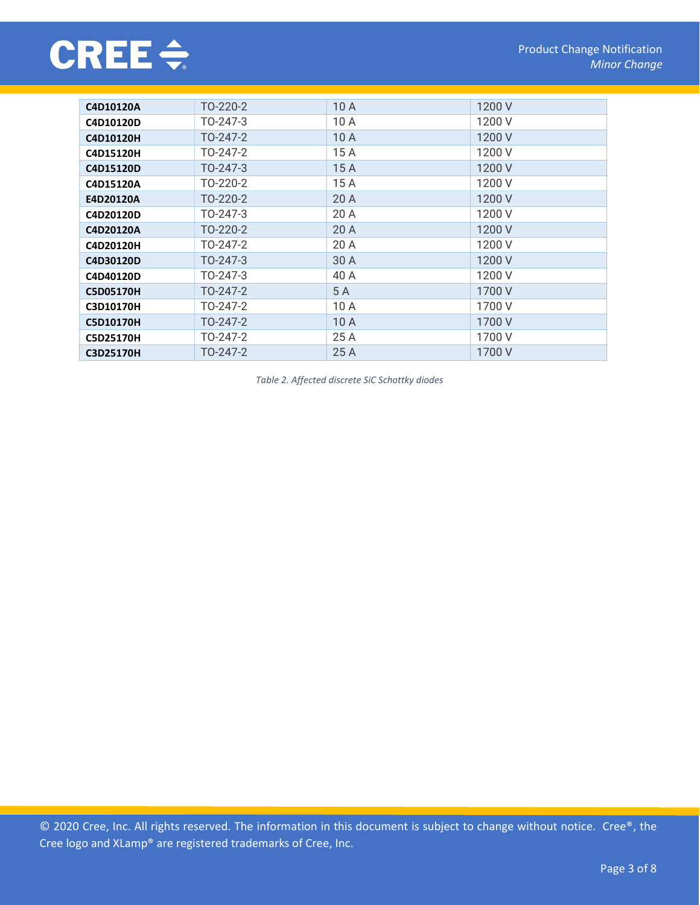

| C4D10120A        | TO-220-2 | 10A  | 1200 V |
|------------------|----------|------|--------|
| C4D10120D        | TO-247-3 | 10 A | 1200 V |
| C4D10120H        | TO-247-2 | 10A  | 1200 V |
| C4D15120H        | TO-247-2 | 15 A | 1200 V |
| C4D15120D        | TO-247-3 | 15A  | 1200 V |
| C4D15120A        | TO-220-2 | 15 A | 1200 V |
| E4D20120A        | TO-220-2 | 20A  | 1200 V |
| C4D20120D        | TO-247-3 | 20 A | 1200 V |
| C4D20120A        | TO-220-2 | 20 A | 1200 V |
| C4D20120H        | TO-247-2 | 20 A | 1200 V |
| C4D30120D        | TO-247-3 | 30 A | 1200 V |
| C4D40120D        | TO-247-3 | 40 A | 1200 V |
| <b>C5D05170H</b> | TO-247-2 | 5 A  | 1700 V |
| C3D10170H        | TO-247-2 | 10 A | 1700 V |
| <b>C5D10170H</b> | TO-247-2 | 10A  | 1700 V |
| <b>C5D25170H</b> | TO-247-2 | 25 A | 1700 V |
| <b>C3D25170H</b> | TO-247-2 | 25 A | 1700 V |

Table 2. Affected discrete SiC Schottky diodes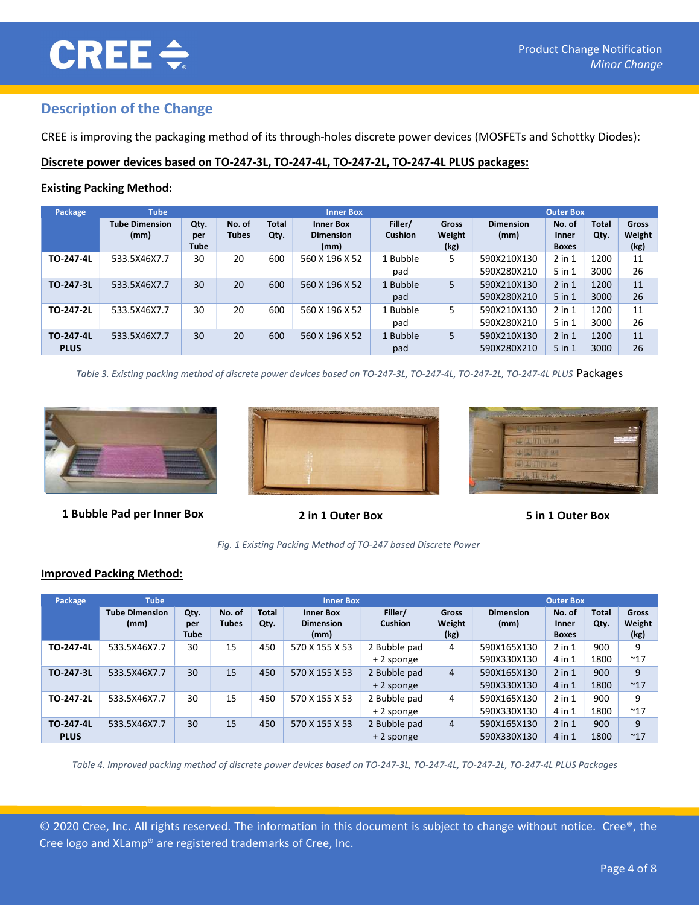# **CREE ÷**

## Description of the Change

CREE is improving the packaging method of its through-holes discrete power devices (MOSFETs and Schottky Diodes):

#### Discrete power devices based on TO-247-3L, TO-247-4L, TO-247-2L, TO-247-4L PLUS packages:

#### Existing Packing Method:

| Package                  | <b>Tube</b>                   |                            |                        |                      | <b>Inner Box</b>                             |                           |                         |                            | <b>Outer Box</b>                |                      |                         |
|--------------------------|-------------------------------|----------------------------|------------------------|----------------------|----------------------------------------------|---------------------------|-------------------------|----------------------------|---------------------------------|----------------------|-------------------------|
|                          | <b>Tube Dimension</b><br>(mm) | Qty.<br>per<br><b>Tube</b> | No. of<br><b>Tubes</b> | <b>Total</b><br>Qty. | <b>Inner Box</b><br><b>Dimension</b><br>(mm) | Filler/<br><b>Cushion</b> | Gross<br>Weight<br>(kg) | <b>Dimension</b><br>(mm)   | No. of<br>Inner<br><b>Boxes</b> | <b>Total</b><br>Qty. | Gross<br>Weight<br>(kg) |
| TO-247-4L                | 533.5X46X7.7                  | 30                         | 20                     | 600                  | 560 X 196 X 52                               | 1 Bubble<br>pad           | 5.                      | 590X210X130<br>590X280X210 | $2$ in $1$<br>$5$ in $1$        | 1200<br>3000         | 11<br>26                |
| TO-247-3L                | 533.5X46X7.7                  | 30                         | 20                     | 600                  | 560 X 196 X 52                               | 1 Bubble<br>pad           | 5                       | 590X210X130<br>590X280X210 | $2$ in $1$<br>$5$ in $1$        | 1200<br>3000         | 11<br>26                |
| TO-247-2L                | 533.5X46X7.7                  | 30                         | 20                     | 600                  | 560 X 196 X 52                               | 1 Bubble<br>pad           | 5.                      | 590X210X130<br>590X280X210 | $2$ in $1$<br>$5$ in $1$        | 1200<br>3000         | 11<br>26                |
| TO-247-4L<br><b>PLUS</b> | 533.5X46X7.7                  | 30                         | 20                     | 600                  | 560 X 196 X 52                               | 1 Bubble<br>pad           | 5                       | 590X210X130<br>590X280X210 | $2$ in $1$<br>$5$ in $1$        | 1200<br>3000         | 11<br>26                |

Table 3. Existing packing method of discrete power devices based on TO-247-3L, TO-247-4L, TO-247-2L, TO-247-4L PLUS Packages



1 Bubble Pad per Inner Box 2 in 1 Outer Box 5 in 1 Outer Box





Fig. 1 Existing Packing Method of TO-247 based Discrete Power

#### Improved Packing Method:

| Package                  | <b>Tube</b>                   |                            |                        |                      | <b>Inner Box</b>                             |                             |                                |                            | <b>Outer Box</b>                |                      |                         |
|--------------------------|-------------------------------|----------------------------|------------------------|----------------------|----------------------------------------------|-----------------------------|--------------------------------|----------------------------|---------------------------------|----------------------|-------------------------|
|                          | <b>Tube Dimension</b><br>(mm) | Qty.<br>per<br><b>Tube</b> | No. of<br><b>Tubes</b> | <b>Total</b><br>Qty. | <b>Inner Box</b><br><b>Dimension</b><br>(mm) | Filler/<br><b>Cushion</b>   | <b>Gross</b><br>Weight<br>(kg) | <b>Dimension</b><br>(mm)   | No. of<br>Inner<br><b>Boxes</b> | <b>Total</b><br>Qty. | Gross<br>Weight<br>(kg) |
| TO-247-4L                | 533.5X46X7.7                  | 30                         | 15                     | 450                  | 570 X 155 X 53                               | 2 Bubble pad<br>+ 2 sponge  | 4                              | 590X165X130<br>590X330X130 | $2$ in $1$<br>4 in 1            | 900<br>1800          | 9<br>~17                |
| TO-247-3L                | 533.5X46X7.7                  | 30                         | 15                     | 450                  | 570 X 155 X 53                               | 2 Bubble pad<br>+ 2 sponge  | 4                              | 590X165X130<br>590X330X130 | $2$ in $1$<br>4 in 1            | 900<br>1800          | 9<br>~17                |
| TO-247-2L                | 533.5X46X7.7                  | 30                         | 15                     | 450                  | 570 X 155 X 53                               | 2 Bubble pad<br>$+2$ sponge | 4                              | 590X165X130<br>590X330X130 | $2$ in $1$<br>4 in 1            | 900<br>1800          | 9<br>~17                |
| TO-247-4L<br><b>PLUS</b> | 533.5X46X7.7                  | 30                         | 15                     | 450                  | 570 X 155 X 53                               | 2 Bubble pad<br>+ 2 sponge  | $\overline{4}$                 | 590X165X130<br>590X330X130 | $2$ in $1$<br>4 in 1            | 900<br>1800          | 9<br>~17                |

Table 4. Improved packing method of discrete power devices based on TO-247-3L, TO-247-4L, TO-247-2L, TO-247-4L PLUS Packages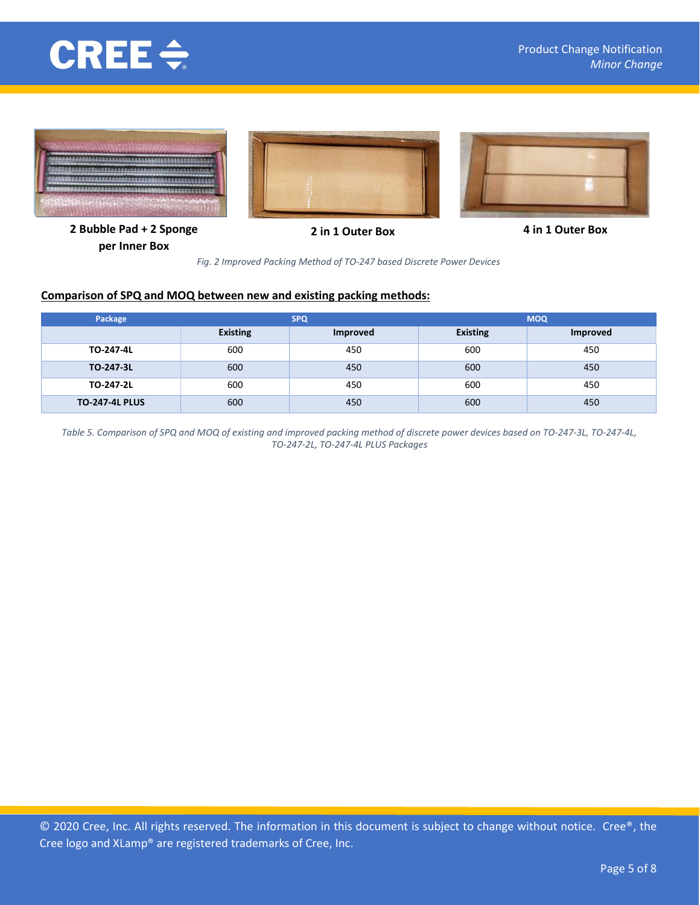







2 Bubble Pad + 2 Sponge per Inner Box

2 in 1 Outer Box 4 in 1 Outer Box

Fig. 2 Improved Packing Method of TO-247 based Discrete Power Devices

#### Comparison of SPQ and MOQ between new and existing packing methods:

| Package               |                 | <b>SPQ</b> | <b>MOQ</b>      |                 |  |
|-----------------------|-----------------|------------|-----------------|-----------------|--|
|                       | <b>Existing</b> | Improved   | <b>Existing</b> | <b>Improved</b> |  |
| TO-247-4L             | 600             | 450        | 600             | 450             |  |
| TO-247-3L             | 600             | 450        | 600             | 450             |  |
| TO-247-2L             | 600             | 450        | 600             | 450             |  |
| <b>TO-247-4L PLUS</b> | 600             | 450        | 600             | 450             |  |

Table 5. Comparison of SPQ and MOQ of existing and improved packing method of discrete power devices based on TO-247-3L, TO-247-4L, TO-247-2L, TO-247-4L PLUS Packages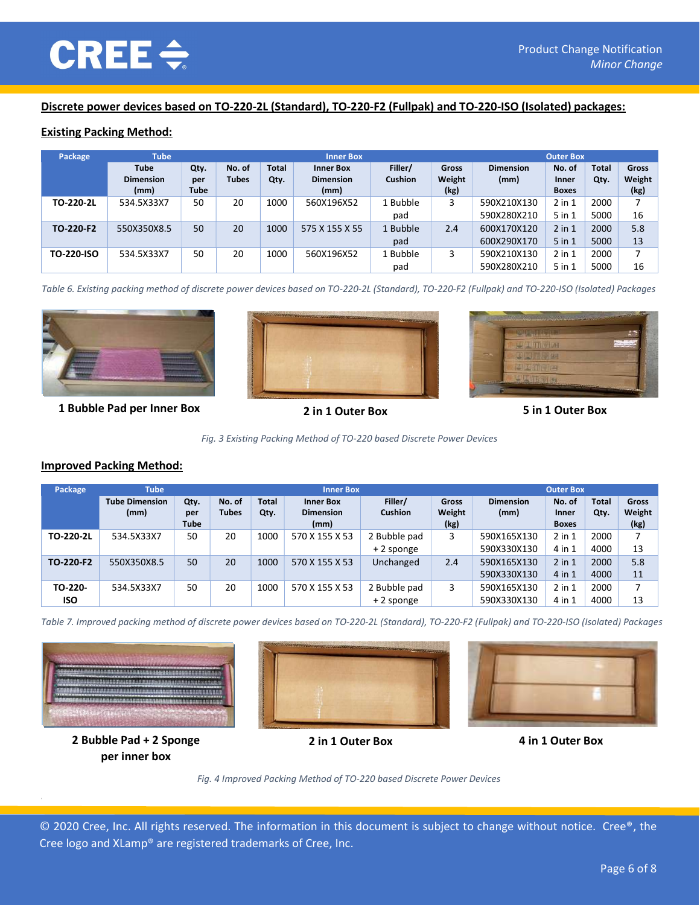#### Discrete power devices based on TO-220-2L (Standard), TO-220-F2 (Fullpak) and TO-220-ISO (Isolated) packages:

#### Existing Packing Method:

| Package    | <b>Tube</b>                             |                            |                        |                      | <b>Inner Box</b>                             |                           |                         |                            | <b>Outer Box</b>                |                      |                         |
|------------|-----------------------------------------|----------------------------|------------------------|----------------------|----------------------------------------------|---------------------------|-------------------------|----------------------------|---------------------------------|----------------------|-------------------------|
|            | <b>Tube</b><br><b>Dimension</b><br>(mm) | Qty.<br>per<br><b>Tube</b> | No. of<br><b>Tubes</b> | <b>Total</b><br>Qty. | <b>Inner Box</b><br><b>Dimension</b><br>(mm) | Filler/<br><b>Cushion</b> | Gross<br>Weight<br>(kg) | <b>Dimension</b><br>(mm)   | No. of<br>Inner<br><b>Boxes</b> | <b>Total</b><br>Qty. | Gross<br>Weight<br>(kg) |
| TO-220-2L  | 534.5X33X7                              | 50                         | 20                     | 1000                 | 560X196X52                                   | 1 Bubble<br>pad           | 3                       | 590X210X130<br>590X280X210 | $2$ in $1$<br>$5$ in $1$        | 2000<br>5000         | 16                      |
| TO-220-F2  | 550X350X8.5                             | 50                         | 20                     | 1000                 | 575 X 155 X 55                               | 1 Bubble<br>pad           | 2.4                     | 600X170X120<br>600X290X170 | $2$ in $1$<br>$5$ in $1$        | 2000<br>5000         | 5.8<br>13               |
| TO-220-ISO | 534.5X33X7                              | 50                         | 20                     | 1000                 | 560X196X52                                   | 1 Bubble<br>pad           | 3                       | 590X210X130<br>590X280X210 | $2$ in $1$<br>$5$ in $1$        | 2000<br>5000         | ⇁<br>16                 |

Table 6. Existing packing method of discrete power devices based on TO-220-2L (Standard), TO-220-F2 (Fullpak) and TO-220-ISO (Isolated) Packages



1 Bubble Pad per Inner Box 2 in 1 Outer Box 5 in 1 Outer Box







#### Improved Packing Method:

| Package    | <b>Tube</b>                   |                            |                        |                      | <b>Inner Box</b>                             |                           |                         |                          | <b>Outer Box</b>                |                      |                         |
|------------|-------------------------------|----------------------------|------------------------|----------------------|----------------------------------------------|---------------------------|-------------------------|--------------------------|---------------------------------|----------------------|-------------------------|
|            | <b>Tube Dimension</b><br>(mm) | Qty.<br>per<br><b>Tube</b> | No. of<br><b>Tubes</b> | <b>Total</b><br>Qty. | <b>Inner Box</b><br><b>Dimension</b><br>(mm) | Filler/<br><b>Cushion</b> | Gross<br>Weight<br>(kg) | <b>Dimension</b><br>(mm) | No. of<br>Inner<br><b>Boxes</b> | <b>Total</b><br>Qty. | Gross<br>Weight<br>(kg) |
| TO-220-2L  | 534.5X33X7                    | 50                         | 20                     | 1000                 | 570 X 155 X 53                               | 2 Bubble pad              | 3                       | 590X165X130              | $2$ in $1$                      | 2000                 |                         |
|            |                               |                            |                        |                      |                                              | + 2 sponge                |                         | 590X330X130              | 4 in 1                          | 4000                 | 13                      |
| TO-220-F2  | 550X350X8.5                   | 50                         | 20                     | 1000                 | 570 X 155 X 53                               | Unchanged                 | 2.4                     | 590X165X130              | $2$ in $1$                      | 2000                 | 5.8                     |
|            |                               |                            |                        |                      |                                              |                           |                         | 590X330X130              | 4 in 1                          | 4000                 | 11                      |
| TO-220-    | 534.5X33X7                    | 50                         | 20                     | 1000                 | 570 X 155 X 53                               | 2 Bubble pad              | 3                       | 590X165X130              | $2$ in $1$                      | 2000                 | 7                       |
| <b>ISO</b> |                               |                            |                        |                      |                                              | + 2 sponge                |                         | 590X330X130              | 4 in 1                          | 4000                 | 13                      |

Table 7. Improved packing method of discrete power devices based on TO-220-2L (Standard), TO-220-F2 (Fullpak) and TO-220-ISO (Isolated) Packages







2 Bubble Pad + 2 Sponge per inner box



2 in 1 Outer Box 4 in 1 Outer Box

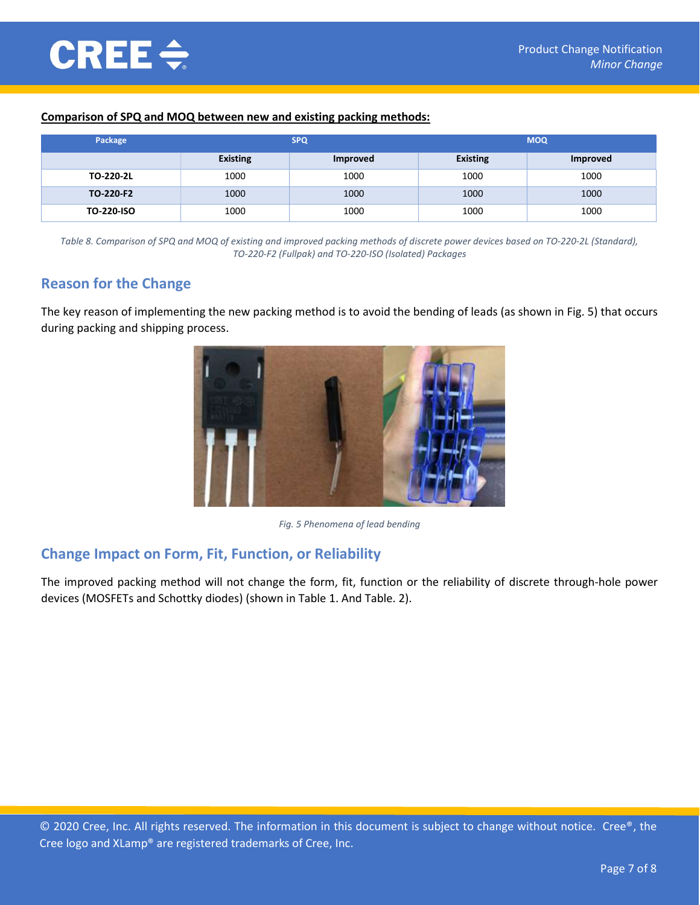#### Comparison of SPQ and MOQ between new and existing packing methods:

| Package           |                 | <b>SPQ</b>      | <b>MOQ</b>      |                 |  |
|-------------------|-----------------|-----------------|-----------------|-----------------|--|
|                   | <b>Existing</b> | <b>Improved</b> | <b>Existing</b> | <b>Improved</b> |  |
| TO-220-2L         | 1000            | 1000            | 1000            | 1000            |  |
| TO-220-F2         | 1000            | 1000            | 1000            | 1000            |  |
| <b>TO-220-ISO</b> | 1000            | 1000            | 1000            | 1000            |  |

Table 8. Comparison of SPQ and MOQ of existing and improved packing methods of discrete power devices based on TO-220-2L (Standard), TO-220-F2 (Fullpak) and TO-220-ISO (Isolated) Packages

## Reason for the Change

The key reason of implementing the new packing method is to avoid the bending of leads (as shown in Fig. 5) that occurs during packing and shipping process.



Fig. 5 Phenomena of lead bending

## Change Impact on Form, Fit, Function, or Reliability

The improved packing method will not change the form, fit, function or the reliability of discrete through-hole power devices (MOSFETs and Schottky diodes) (shown in Table 1. And Table. 2).